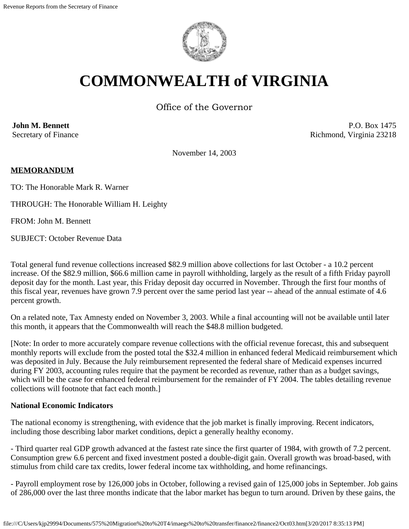

# **COMMONWEALTH of VIRGINIA**

Office of the Governor

**John M. Bennett** Secretary of Finance

P.O. Box 1475 Richmond, Virginia 23218

November 14, 2003

## **MEMORANDUM**

TO: The Honorable Mark R. Warner

THROUGH: The Honorable William H. Leighty

FROM: John M. Bennett

SUBJECT: October Revenue Data

Total general fund revenue collections increased \$82.9 million above collections for last October - a 10.2 percent increase. Of the \$82.9 million, \$66.6 million came in payroll withholding, largely as the result of a fifth Friday payroll deposit day for the month. Last year, this Friday deposit day occurred in November. Through the first four months of this fiscal year, revenues have grown 7.9 percent over the same period last year -- ahead of the annual estimate of 4.6 percent growth.

On a related note, Tax Amnesty ended on November 3, 2003. While a final accounting will not be available until later this month, it appears that the Commonwealth will reach the \$48.8 million budgeted.

[Note: In order to more accurately compare revenue collections with the official revenue forecast, this and subsequent monthly reports will exclude from the posted total the \$32.4 million in enhanced federal Medicaid reimbursement which was deposited in July. Because the July reimbursement represented the federal share of Medicaid expenses incurred during FY 2003, accounting rules require that the payment be recorded as revenue, rather than as a budget savings, which will be the case for enhanced federal reimbursement for the remainder of FY 2004. The tables detailing revenue collections will footnote that fact each month.]

#### **National Economic Indicators**

The national economy is strengthening, with evidence that the job market is finally improving. Recent indicators, including those describing labor market conditions, depict a generally healthy economy.

- Third quarter real GDP growth advanced at the fastest rate since the first quarter of 1984, with growth of 7.2 percent. Consumption grew 6.6 percent and fixed investment posted a double-digit gain. Overall growth was broad-based, with stimulus from child care tax credits, lower federal income tax withholding, and home refinancings.

- Payroll employment rose by 126,000 jobs in October, following a revised gain of 125,000 jobs in September. Job gains of 286,000 over the last three months indicate that the labor market has begun to turn around. Driven by these gains, the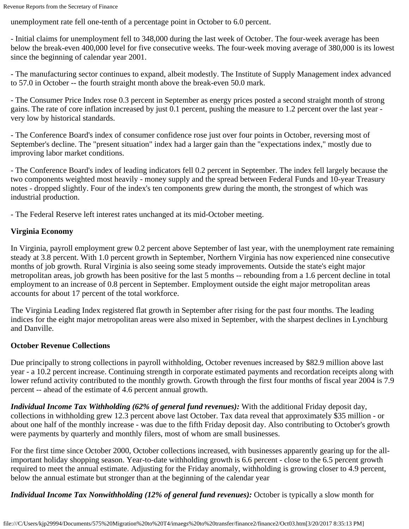unemployment rate fell one-tenth of a percentage point in October to 6.0 percent.

- Initial claims for unemployment fell to 348,000 during the last week of October. The four-week average has been below the break-even 400,000 level for five consecutive weeks. The four-week moving average of 380,000 is its lowest since the beginning of calendar year 2001.

- The manufacturing sector continues to expand, albeit modestly. The Institute of Supply Management index advanced to 57.0 in October -- the fourth straight month above the break-even 50.0 mark.

- The Consumer Price Index rose 0.3 percent in September as energy prices posted a second straight month of strong gains. The rate of core inflation increased by just 0.1 percent, pushing the measure to 1.2 percent over the last year very low by historical standards.

- The Conference Board's index of consumer confidence rose just over four points in October, reversing most of September's decline. The "present situation" index had a larger gain than the "expectations index," mostly due to improving labor market conditions.

- The Conference Board's index of leading indicators fell 0.2 percent in September. The index fell largely because the two components weighted most heavily - money supply and the spread between Federal Funds and 10-year Treasury notes - dropped slightly. Four of the index's ten components grew during the month, the strongest of which was industrial production.

- The Federal Reserve left interest rates unchanged at its mid-October meeting.

## **Virginia Economy**

In Virginia, payroll employment grew 0.2 percent above September of last year, with the unemployment rate remaining steady at 3.8 percent. With 1.0 percent growth in September, Northern Virginia has now experienced nine consecutive months of job growth. Rural Virginia is also seeing some steady improvements. Outside the state's eight major metropolitan areas, job growth has been positive for the last 5 months -- rebounding from a 1.6 percent decline in total employment to an increase of 0.8 percent in September. Employment outside the eight major metropolitan areas accounts for about 17 percent of the total workforce.

The Virginia Leading Index registered flat growth in September after rising for the past four months. The leading indices for the eight major metropolitan areas were also mixed in September, with the sharpest declines in Lynchburg and Danville.

## **October Revenue Collections**

Due principally to strong collections in payroll withholding, October revenues increased by \$82.9 million above last year - a 10.2 percent increase. Continuing strength in corporate estimated payments and recordation receipts along with lower refund activity contributed to the monthly growth. Growth through the first four months of fiscal year 2004 is 7.9 percent -- ahead of the estimate of 4.6 percent annual growth.

*Individual Income Tax Withholding (62% of general fund revenues):* With the additional Friday deposit day, collections in withholding grew 12.3 percent above last October. Tax data reveal that approximately \$35 million - or about one half of the monthly increase - was due to the fifth Friday deposit day. Also contributing to October's growth were payments by quarterly and monthly filers, most of whom are small businesses.

For the first time since October 2000, October collections increased, with businesses apparently gearing up for the allimportant holiday shopping season. Year-to-date withholding growth is 6.6 percent - close to the 6.5 percent growth required to meet the annual estimate. Adjusting for the Friday anomaly, withholding is growing closer to 4.9 percent, below the annual estimate but stronger than at the beginning of the calendar year

*Individual Income Tax Nonwithholding (12% of general fund revenues):* October is typically a slow month for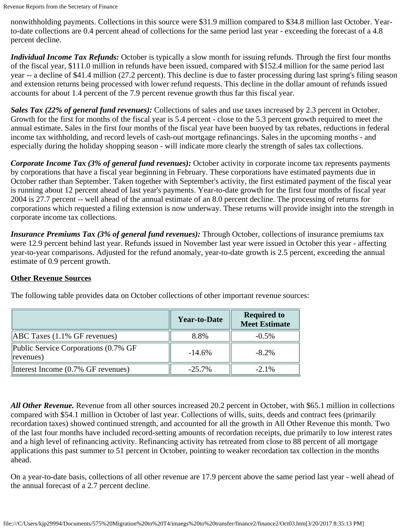nonwithholding payments. Collections in this source were \$31.9 million compared to \$34.8 million last October. Yearto-date collections are 0.4 percent ahead of collections for the same period last year - exceeding the forecast of a 4.8 percent decline.

*Individual Income Tax Refunds:* October is typically a slow month for issuing refunds. Through the first four months of the fiscal year, \$111.0 million in refunds have been issued, compared with \$152.4 million for the same period last year -- a decline of \$41.4 million (27.2 percent). This decline is due to faster processing during last spring's filing season and extension returns being processed with lower refund requests. This decline in the dollar amount of refunds issued accounts for about 1.4 percent of the 7.9 percent revenue growth thus far this fiscal year.

*Sales Tax (22% of general fund revenues):* Collections of sales and use taxes increased by 2.3 percent in October. Growth for the first for months of the fiscal year is 5.4 percent - close to the 5.3 percent growth required to meet the annual estimate. Sales in the first four months of the fiscal year have been buoyed by tax rebates, reductions in federal income tax withholding, and record levels of cash-out mortgage refinancings. Sales in the upcoming months - and especially during the holiday shopping season - will indicate more clearly the strength of sales tax collections.

*Corporate Income Tax (3% of general fund revenues):* October activity in corporate income tax represents payments by corporations that have a fiscal year beginning in February. These corporations have estimated payments due in October rather than September. Taken together with September's activity, the first estimated payment of the fiscal year is running about 12 percent ahead of last year's payments. Year-to-date growth for the first four months of fiscal year 2004 is 27.7 percent -- well ahead of the annual estimate of an 8.0 percent decline. The processing of returns for corporations which requested a filing extension is now underway. These returns will provide insight into the strength in corporate income tax collections.

*Insurance Premiums Tax (3% of general fund revenues):* Through October, collections of insurance premiums tax were 12.9 percent behind last year. Refunds issued in November last year were issued in October this year - affecting year-to-year comparisons. Adjusted for the refund anomaly, year-to-date growth is 2.5 percent, exceeding the annual estimate of 0.9 percent growth.

## **Other Revenue Sources**

|                                                    | <b>Year-to-Date</b> | <b>Required to</b><br><b>Meet Estimate</b> |
|----------------------------------------------------|---------------------|--------------------------------------------|
| $[ABC$ Taxes $(1.1\%$ GF revenues)                 | 8.8%                | $-0.5\%$                                   |
| Public Service Corporations (0.7% GF)<br>revenues) | $-14.6%$            | $-8.2\%$                                   |
| Interest Income (0.7% GF revenues)                 | $-25.7\%$           | $-2.1\%$                                   |

The following table provides data on October collections of other important revenue sources:

*All Other Revenue.* Revenue from all other sources increased 20.2 percent in October, with \$65.1 million in collections compared with \$54.1 million in October of last year. Collections of wills, suits, deeds and contract fees (primarily recordation taxes) showed continued strength, and accounted for all the growth in All Other Revenue this month. Two of the last four months have included record-setting amounts of recordation receipts, due primarily to low interest rates and a high level of refinancing activity. Refinancing activity has retreated from close to 88 percent of all mortgage applications this past summer to 51 percent in October, pointing to weaker recordation tax collection in the months ahead.

On a year-to-date basis, collections of all other revenue are 17.9 percent above the same period last year - well ahead of the annual forecast of a 2.7 percent decline.